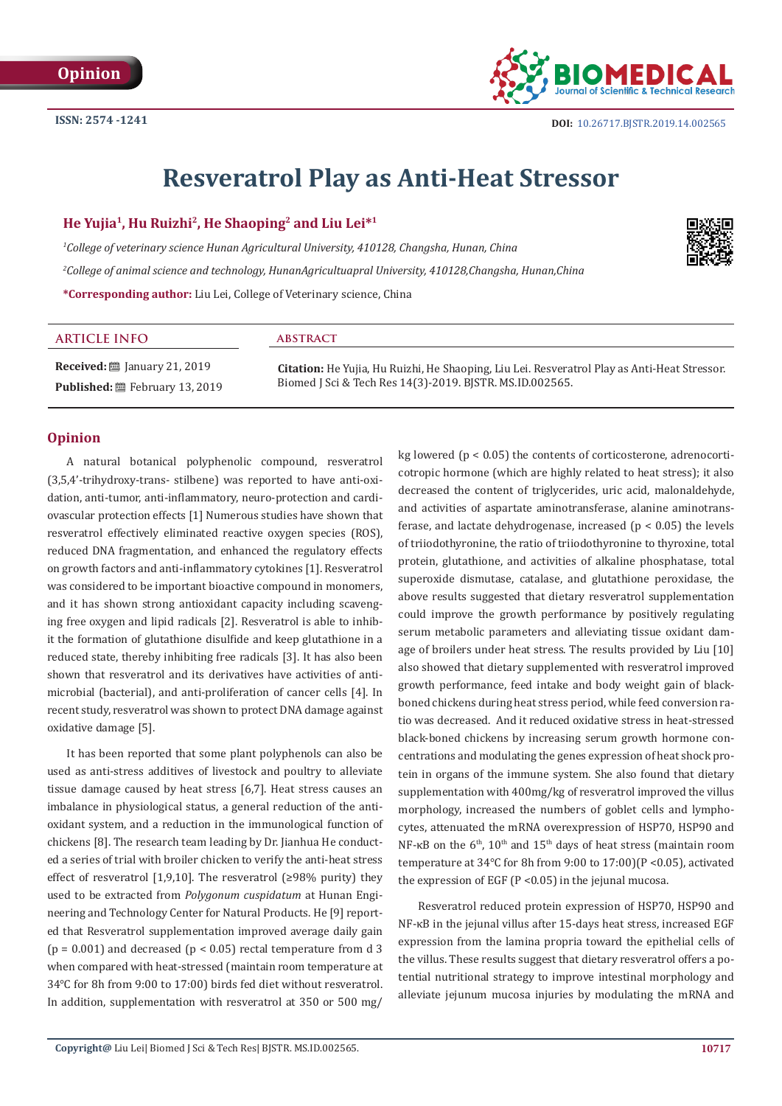

# **Resveratrol Play as Anti-Heat Stressor**

## **He Yujia1, Hu Ruizhi2, He Shaoping2 and Liu Lei\*1**

*1 College of veterinary science Hunan Agricultural University, 410128, Changsha, Hunan, China 2 College of animal science and technology, HunanAgricultuapral University, 410128,Changsha, Hunan,China* **\*Corresponding author:** Liu Lei, College of Veterinary science, China



#### **ARTICLE INFO abstract**

**Received:** ■ January 21, 2019 **Published:** February 13, 2019

**Citation:** He Yujia, Hu Ruizhi, He Shaoping, Liu Lei. Resveratrol Play as Anti-Heat Stressor. Biomed J Sci & Tech Res 14(3)-2019. BJSTR. MS.ID.002565.

## **Opinion**

A natural botanical polyphenolic compound, resveratrol (3,5,4'-trihydroxy-trans- stilbene) was reported to have anti-oxidation, anti-tumor, anti-inflammatory, neuro-protection and cardiovascular protection effects [1] Numerous studies have shown that resveratrol effectively eliminated reactive oxygen species (ROS), reduced DNA fragmentation, and enhanced the regulatory effects on growth factors and anti-inflammatory cytokines [1]. Resveratrol was considered to be important bioactive compound in monomers, and it has shown strong antioxidant capacity including scavenging free oxygen and lipid radicals [2]. Resveratrol is able to inhibit the formation of glutathione disulfide and keep glutathione in a reduced state, thereby inhibiting free radicals [3]. It has also been shown that resveratrol and its derivatives have activities of antimicrobial (bacterial), and anti-proliferation of cancer cells [4]. In recent study, resveratrol was shown to protect DNA damage against oxidative damage [5].

It has been reported that some plant polyphenols can also be used as anti-stress additives of livestock and poultry to alleviate tissue damage caused by heat stress [6,7]. Heat stress causes an imbalance in physiological status, a general reduction of the antioxidant system, and a reduction in the immunological function of chickens [8]. The research team leading by Dr. Jianhua He conducted a series of trial with broiler chicken to verify the anti-heat stress effect of resveratrol [1,9,10]. The resveratrol  $(≥98%$  purity) they used to be extracted from *Polygonum cuspidatum* at Hunan Engineering and Technology Center for Natural Products. He [9] reported that Resveratrol supplementation improved average daily gain ( $p = 0.001$ ) and decreased ( $p < 0.05$ ) rectal temperature from d 3 when compared with heat-stressed (maintain room temperature at 34℃ for 8h from 9:00 to 17:00) birds fed diet without resveratrol. In addition, supplementation with resveratrol at 350 or 500 mg/

kg lowered ( $p < 0.05$ ) the contents of corticosterone, adrenocorticotropic hormone (which are highly related to heat stress); it also decreased the content of triglycerides, uric acid, malonaldehyde, and activities of aspartate aminotransferase, alanine aminotransferase, and lactate dehydrogenase, increased ( $p < 0.05$ ) the levels of triiodothyronine, the ratio of triiodothyronine to thyroxine, total protein, glutathione, and activities of alkaline phosphatase, total superoxide dismutase, catalase, and glutathione peroxidase, the above results suggested that dietary resveratrol supplementation could improve the growth performance by positively regulating serum metabolic parameters and alleviating tissue oxidant damage of broilers under heat stress. The results provided by Liu [10] also showed that dietary supplemented with resveratrol improved growth performance, feed intake and body weight gain of blackboned chickens during heat stress period, while feed conversion ratio was decreased. And it reduced oxidative stress in heat-stressed black-boned chickens by increasing serum growth hormone concentrations and modulating the genes expression of heat shock protein in organs of the immune system. She also found that dietary supplementation with 400mg/kg of resveratrol improved the villus morphology, increased the numbers of goblet cells and lymphocytes, attenuated the mRNA overexpression of HSP70, HSP90 and NF-κB on the  $6<sup>th</sup>$ , 10<sup>th</sup> and 15<sup>th</sup> days of heat stress (maintain room temperature at 34℃ for 8h from 9:00 to 17:00)(P <0.05), activated the expression of EGF (P <0.05) in the jejunal mucosa.

Resveratrol reduced protein expression of HSP70, HSP90 and NF-κB in the jejunal villus after 15-days heat stress, increased EGF expression from the lamina propria toward the epithelial cells of the villus. These results suggest that dietary resveratrol offers a potential nutritional strategy to improve intestinal morphology and alleviate jejunum mucosa injuries by modulating the mRNA and